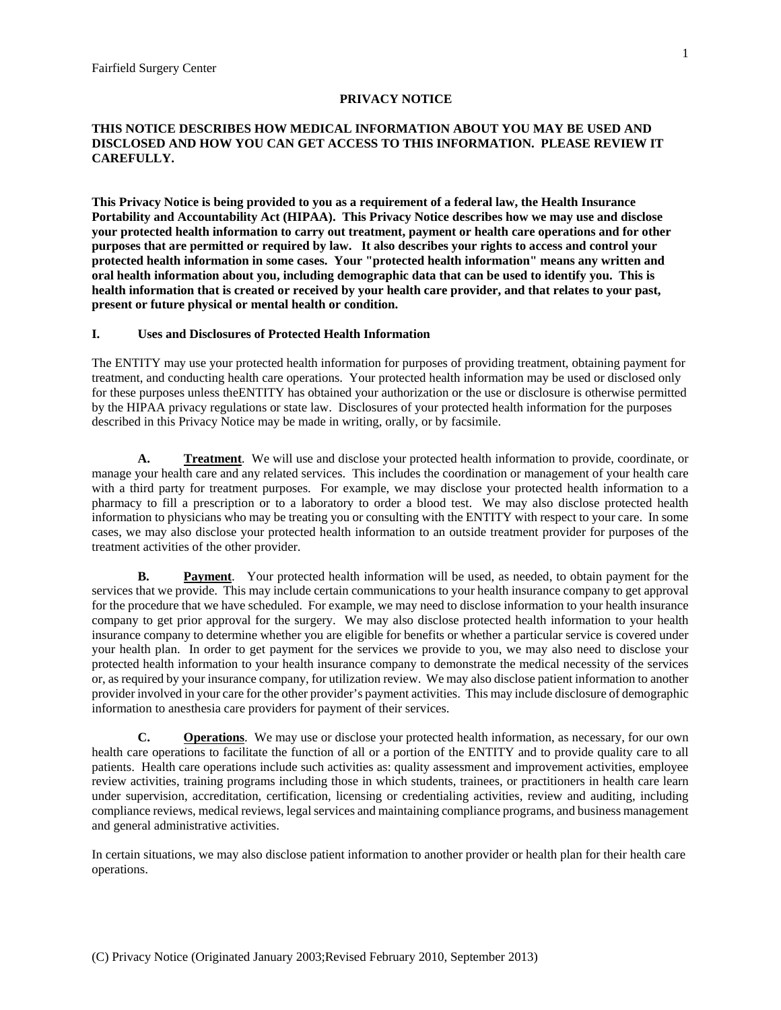#### **PRIVACY NOTICE**

### **THIS NOTICE DESCRIBES HOW MEDICAL INFORMATION ABOUT YOU MAY BE USED AND DISCLOSED AND HOW YOU CAN GET ACCESS TO THIS INFORMATION. PLEASE REVIEW IT CAREFULLY.**

**This Privacy Notice is being provided to you as a requirement of a federal law, the Health Insurance Portability and Accountability Act (HIPAA). This Privacy Notice describes how we may use and disclose your protected health information to carry out treatment, payment or health care operations and for other purposes that are permitted or required by law. It also describes your rights to access and control your protected health information in some cases. Your "protected health information" means any written and oral health information about you, including demographic data that can be used to identify you. This is health information that is created or received by your health care provider, and that relates to your past, present or future physical or mental health or condition.**

#### **I. Uses and Disclosures of Protected Health Information**

The ENTITY may use your protected health information for purposes of providing treatment, obtaining payment for treatment, and conducting health care operations. Your protected health information may be used or disclosed only for these purposes unless theENTITY has obtained your authorization or the use or disclosure is otherwise permitted by the HIPAA privacy regulations or state law. Disclosures of your protected health information for the purposes described in this Privacy Notice may be made in writing, orally, or by facsimile.

**A. Treatment**. We will use and disclose your protected health information to provide, coordinate, or manage your health care and any related services. This includes the coordination or management of your health care with a third party for treatment purposes. For example, we may disclose your protected health information to a pharmacy to fill a prescription or to a laboratory to order a blood test. We may also disclose protected health information to physicians who may be treating you or consulting with the ENTITY with respect to your care. In some cases, we may also disclose your protected health information to an outside treatment provider for purposes of the treatment activities of the other provider.

**B. Payment**. Your protected health information will be used, as needed, to obtain payment for the services that we provide. This may include certain communications to your health insurance company to get approval for the procedure that we have scheduled. For example, we may need to disclose information to your health insurance company to get prior approval for the surgery. We may also disclose protected health information to your health insurance company to determine whether you are eligible for benefits or whether a particular service is covered under your health plan. In order to get payment for the services we provide to you, we may also need to disclose your protected health information to your health insurance company to demonstrate the medical necessity of the services or, as required by your insurance company, for utilization review. We may also disclose patient information to another provider involved in your care for the other provider's payment activities. This may include disclosure of demographic information to anesthesia care providers for payment of their services.

**C. Operations**. We may use or disclose your protected health information, as necessary, for our own health care operations to facilitate the function of all or a portion of the ENTITY and to provide quality care to all patients. Health care operations include such activities as: quality assessment and improvement activities, employee review activities, training programs including those in which students, trainees, or practitioners in health care learn under supervision, accreditation, certification, licensing or credentialing activities, review and auditing, including compliance reviews, medical reviews, legal services and maintaining compliance programs, and business management and general administrative activities.

In certain situations, we may also disclose patient information to another provider or health plan for their health care operations.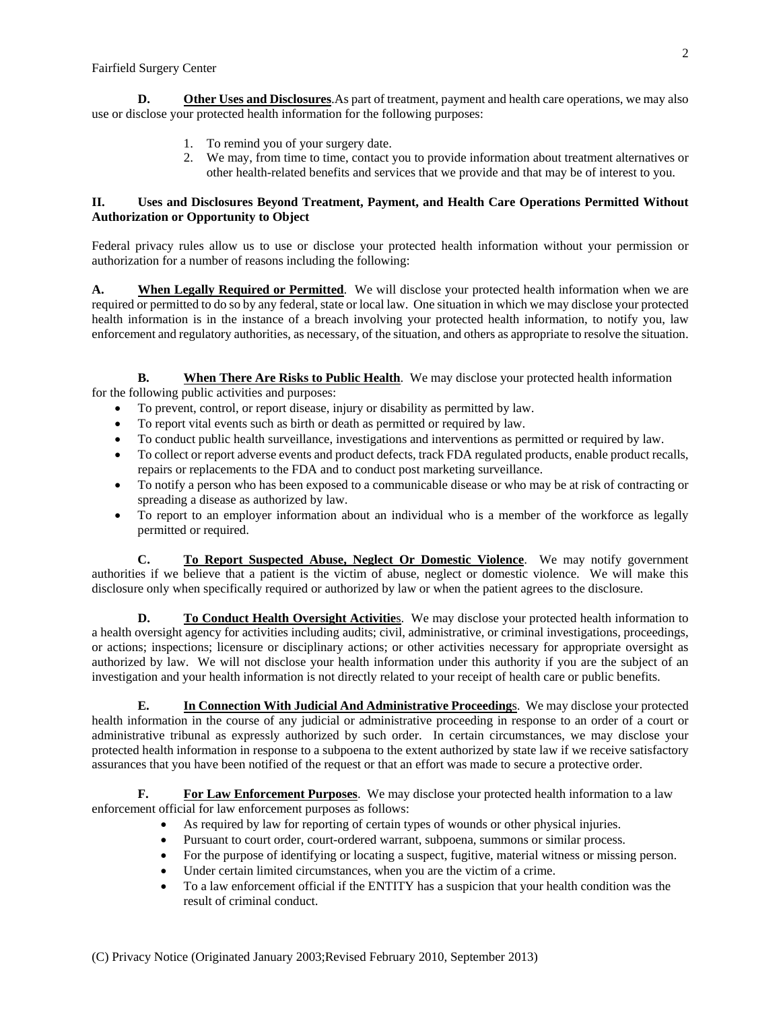**D. Other Uses and Disclosures**. As part of treatment, payment and health care operations, we may also use or disclose your protected health information for the following purposes:

- 1. To remind you of your surgery date.
- 2. We may, from time to time, contact you to provide information about treatment alternatives or other health-related benefits and services that we provide and that may be of interest to you.

# **II. Uses and Disclosures Beyond Treatment, Payment, and Health Care Operations Permitted Without Authorization or Opportunity to Object**

Federal privacy rules allow us to use or disclose your protected health information without your permission or authorization for a number of reasons including the following:

**A. When Legally Required or Permitted**. We will disclose your protected health information when we are required or permitted to do so by any federal, state or local law. One situation in which we may disclose your protected health information is in the instance of a breach involving your protected health information, to notify you, law enforcement and regulatory authorities, as necessary, of the situation, and others as appropriate to resolve the situation.

**B. When There Are Risks to Public Health**. We may disclose your protected health information

for the following public activities and purposes:

- To prevent, control, or report disease, injury or disability as permitted by law.
- To report vital events such as birth or death as permitted or required by law.
- To conduct public health surveillance, investigations and interventions as permitted or required by law.
- To collect or report adverse events and product defects, track FDA regulated products, enable product recalls, repairs or replacements to the FDA and to conduct post marketing surveillance.
- To notify a person who has been exposed to a communicable disease or who may be at risk of contracting or spreading a disease as authorized by law.
- To report to an employer information about an individual who is a member of the workforce as legally permitted or required.

**C. To Report Suspected Abuse, Neglect Or Domestic Violence**. We may notify government authorities if we believe that a patient is the victim of abuse, neglect or domestic violence. We will make this disclosure only when specifically required or authorized by law or when the patient agrees to the disclosure.

**D. To Conduct Health Oversight Activitie**s. We may disclose your protected health information to a health oversight agency for activities including audits; civil, administrative, or criminal investigations, proceedings, or actions; inspections; licensure or disciplinary actions; or other activities necessary for appropriate oversight as authorized by law. We will not disclose your health information under this authority if you are the subject of an investigation and your health information is not directly related to your receipt of health care or public benefits.

**E. In Connection With Judicial And Administrative Proceeding**s. We may disclose your protected health information in the course of any judicial or administrative proceeding in response to an order of a court or administrative tribunal as expressly authorized by such order. In certain circumstances, we may disclose your protected health information in response to a subpoena to the extent authorized by state law if we receive satisfactory assurances that you have been notified of the request or that an effort was made to secure a protective order.

**F. For Law Enforcement Purposes**. We may disclose your protected health information to a law enforcement official for law enforcement purposes as follows:

- As required by law for reporting of certain types of wounds or other physical injuries.
- Pursuant to court order, court-ordered warrant, subpoena, summons or similar process.
- For the purpose of identifying or locating a suspect, fugitive, material witness or missing person.
- Under certain limited circumstances, when you are the victim of a crime.
- To a law enforcement official if the ENTITY has a suspicion that your health condition was the result of criminal conduct.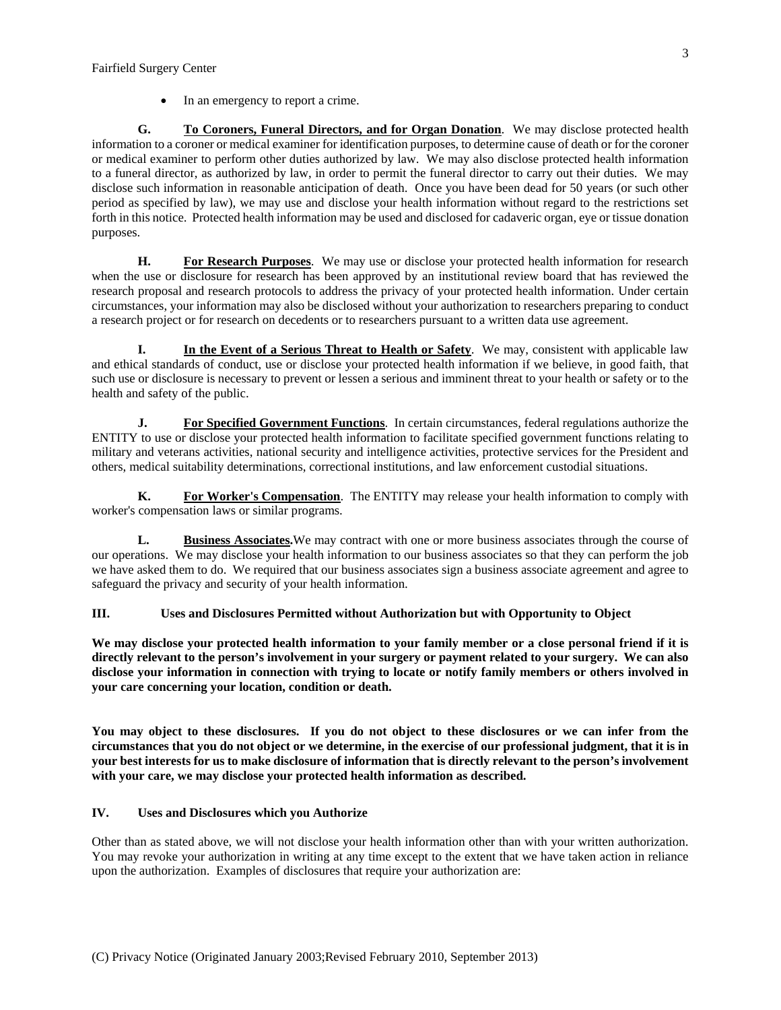In an emergency to report a crime.

**G. To Coroners, Funeral Directors, and for Organ Donation**. We may disclose protected health information to a coroner or medical examiner for identification purposes, to determine cause of death or for the coroner or medical examiner to perform other duties authorized by law. We may also disclose protected health information to a funeral director, as authorized by law, in order to permit the funeral director to carry out their duties. We may disclose such information in reasonable anticipation of death. Once you have been dead for 50 years (or such other period as specified by law), we may use and disclose your health information without regard to the restrictions set forth in this notice. Protected health information may be used and disclosed for cadaveric organ, eye or tissue donation purposes.

**H. For Research Purposes**. We may use or disclose your protected health information for research when the use or disclosure for research has been approved by an institutional review board that has reviewed the research proposal and research protocols to address the privacy of your protected health information. Under certain circumstances, your information may also be disclosed without your authorization to researchers preparing to conduct a research project or for research on decedents or to researchers pursuant to a written data use agreement.

**I.** In the Event of a Serious Threat to Health or Safety. We may, consistent with applicable law and ethical standards of conduct, use or disclose your protected health information if we believe, in good faith, that such use or disclosure is necessary to prevent or lessen a serious and imminent threat to your health or safety or to the health and safety of the public.

**J. For Specified Government Functions**. In certain circumstances, federal regulations authorize the ENTITY to use or disclose your protected health information to facilitate specified government functions relating to military and veterans activities, national security and intelligence activities, protective services for the President and others, medical suitability determinations, correctional institutions, and law enforcement custodial situations.

**K. For Worker's Compensation**. The ENTITY may release your health information to comply with worker's compensation laws or similar programs.

**L. Business Associates.**We may contract with one or more business associates through the course of our operations. We may disclose your health information to our business associates so that they can perform the job we have asked them to do. We required that our business associates sign a business associate agreement and agree to safeguard the privacy and security of your health information.

# **III. Uses and Disclosures Permitted without Authorization but with Opportunity to Object**

**We may disclose your protected health information to your family member or a close personal friend if it is directly relevant to the person's involvement in your surgery or payment related to your surgery. We can also disclose your information in connection with trying to locate or notify family members or others involved in your care concerning your location, condition or death.** 

**You may object to these disclosures. If you do not object to these disclosures or we can infer from the circumstances that you do not object or we determine, in the exercise of our professional judgment, that it is in your best interests for us to make disclosure of information that is directly relevant to the person's involvement with your care, we may disclose your protected health information as described.** 

# **IV. Uses and Disclosures which you Authorize**

Other than as stated above, we will not disclose your health information other than with your written authorization. You may revoke your authorization in writing at any time except to the extent that we have taken action in reliance upon the authorization. Examples of disclosures that require your authorization are: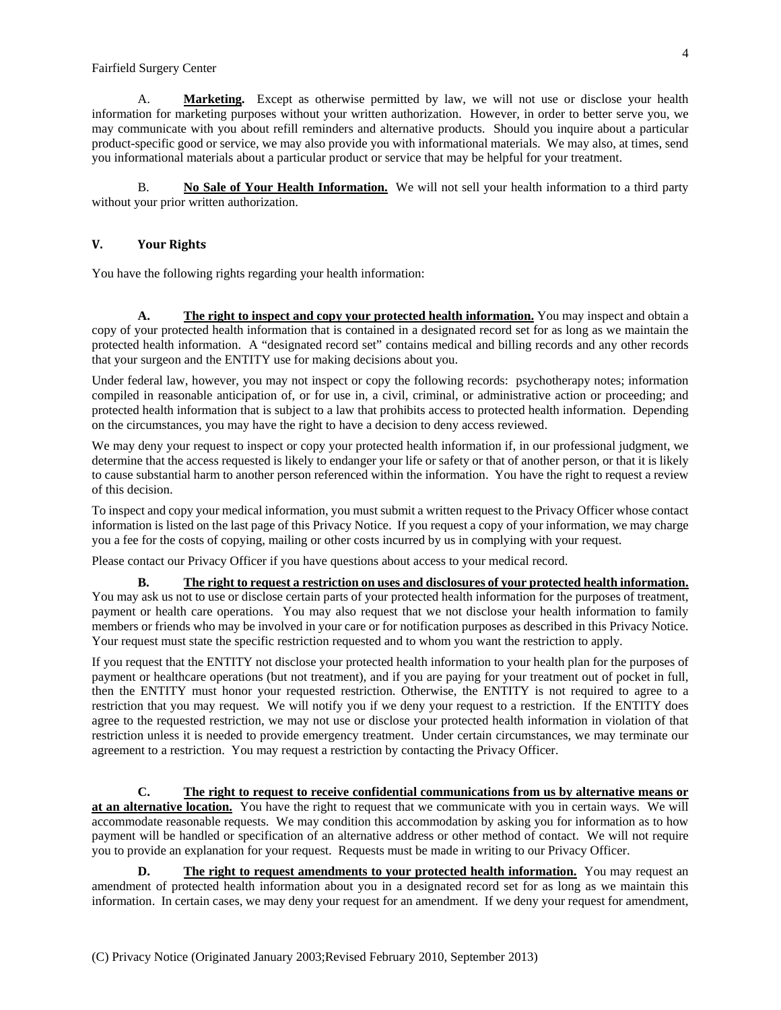### Fairfield Surgery Center

A. **Marketing.** Except as otherwise permitted by law, we will not use or disclose your health information for marketing purposes without your written authorization. However, in order to better serve you, we may communicate with you about refill reminders and alternative products. Should you inquire about a particular product-specific good or service, we may also provide you with informational materials. We may also, at times, send you informational materials about a particular product or service that may be helpful for your treatment.

B. **No Sale of Your Health Information.** We will not sell your health information to a third party without your prior written authorization.

# **V. Your Rights**

You have the following rights regarding your health information:

A. **The right to inspect and copy your protected health information.** You may inspect and obtain a copy of your protected health information that is contained in a designated record set for as long as we maintain the protected health information. A "designated record set" contains medical and billing records and any other records that your surgeon and the ENTITY use for making decisions about you.

Under federal law, however, you may not inspect or copy the following records: psychotherapy notes; information compiled in reasonable anticipation of, or for use in, a civil, criminal, or administrative action or proceeding; and protected health information that is subject to a law that prohibits access to protected health information. Depending on the circumstances, you may have the right to have a decision to deny access reviewed.

We may deny your request to inspect or copy your protected health information if, in our professional judgment, we determine that the access requested is likely to endanger your life or safety or that of another person, or that it is likely to cause substantial harm to another person referenced within the information. You have the right to request a review of this decision.

To inspect and copy your medical information, you must submit a written request to the Privacy Officer whose contact information is listed on the last page of this Privacy Notice. If you request a copy of your information, we may charge you a fee for the costs of copying, mailing or other costs incurred by us in complying with your request.

Please contact our Privacy Officer if you have questions about access to your medical record.

**B. The right to request a restriction on uses and disclosures of your protected health information.** You may ask us not to use or disclose certain parts of your protected health information for the purposes of treatment, payment or health care operations. You may also request that we not disclose your health information to family

members or friends who may be involved in your care or for notification purposes as described in this Privacy Notice. Your request must state the specific restriction requested and to whom you want the restriction to apply.

If you request that the ENTITY not disclose your protected health information to your health plan for the purposes of payment or healthcare operations (but not treatment), and if you are paying for your treatment out of pocket in full, then the ENTITY must honor your requested restriction. Otherwise, the ENTITY is not required to agree to a restriction that you may request. We will notify you if we deny your request to a restriction. If the ENTITY does agree to the requested restriction, we may not use or disclose your protected health information in violation of that restriction unless it is needed to provide emergency treatment. Under certain circumstances, we may terminate our agreement to a restriction. You may request a restriction by contacting the Privacy Officer.

**C. The right to request to receive confidential communications from us by alternative means or at an alternative location.** You have the right to request that we communicate with you in certain ways. We will accommodate reasonable requests. We may condition this accommodation by asking you for information as to how payment will be handled or specification of an alternative address or other method of contact. We will not require you to provide an explanation for your request. Requests must be made in writing to our Privacy Officer.

**D. The right to request amendments to your protected health information.** You may request an amendment of protected health information about you in a designated record set for as long as we maintain this information. In certain cases, we may deny your request for an amendment. If we deny your request for amendment,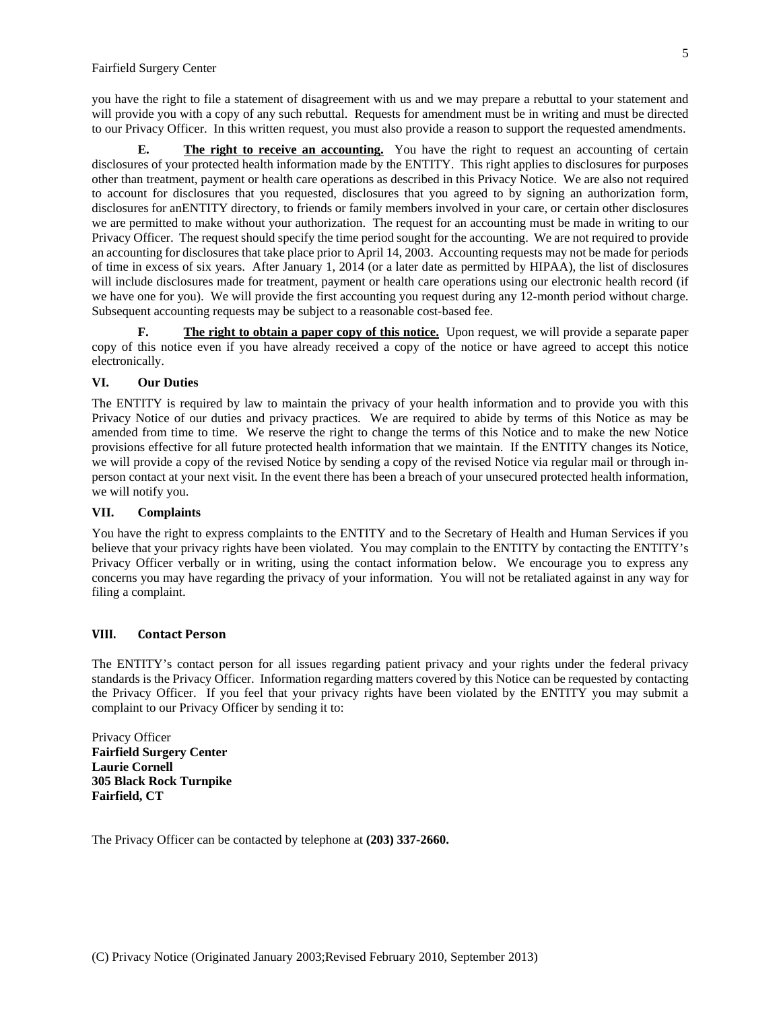you have the right to file a statement of disagreement with us and we may prepare a rebuttal to your statement and will provide you with a copy of any such rebuttal. Requests for amendment must be in writing and must be directed to our Privacy Officer. In this written request, you must also provide a reason to support the requested amendments.

**E. The right to receive an accounting.** You have the right to request an accounting of certain disclosures of your protected health information made by the ENTITY. This right applies to disclosures for purposes other than treatment, payment or health care operations as described in this Privacy Notice. We are also not required to account for disclosures that you requested, disclosures that you agreed to by signing an authorization form, disclosures for anENTITY directory, to friends or family members involved in your care, or certain other disclosures we are permitted to make without your authorization. The request for an accounting must be made in writing to our Privacy Officer. The request should specify the time period sought for the accounting. We are not required to provide an accounting for disclosures that take place prior to April 14, 2003. Accounting requests may not be made for periods of time in excess of six years. After January 1, 2014 (or a later date as permitted by HIPAA), the list of disclosures will include disclosures made for treatment, payment or health care operations using our electronic health record (if we have one for you). We will provide the first accounting you request during any 12-month period without charge. Subsequent accounting requests may be subject to a reasonable cost-based fee.

**F. The right to obtain a paper copy of this notice.** Upon request, we will provide a separate paper copy of this notice even if you have already received a copy of the notice or have agreed to accept this notice electronically.

# **VI. Our Duties**

The ENTITY is required by law to maintain the privacy of your health information and to provide you with this Privacy Notice of our duties and privacy practices. We are required to abide by terms of this Notice as may be amended from time to time. We reserve the right to change the terms of this Notice and to make the new Notice provisions effective for all future protected health information that we maintain. If the ENTITY changes its Notice, we will provide a copy of the revised Notice by sending a copy of the revised Notice via regular mail or through inperson contact at your next visit. In the event there has been a breach of your unsecured protected health information, we will notify you.

### **VII. Complaints**

You have the right to express complaints to the ENTITY and to the Secretary of Health and Human Services if you believe that your privacy rights have been violated. You may complain to the ENTITY by contacting the ENTITY's Privacy Officer verbally or in writing, using the contact information below. We encourage you to express any concerns you may have regarding the privacy of your information. You will not be retaliated against in any way for filing a complaint.

# **VIII. Contact Person**

The ENTITY's contact person for all issues regarding patient privacy and your rights under the federal privacy standards is the Privacy Officer. Information regarding matters covered by this Notice can be requested by contacting the Privacy Officer. If you feel that your privacy rights have been violated by the ENTITY you may submit a complaint to our Privacy Officer by sending it to:

Privacy Officer **Fairfield Surgery Center Laurie Cornell 305 Black Rock Turnpike Fairfield, CT**

The Privacy Officer can be contacted by telephone at **(203) 337-2660.**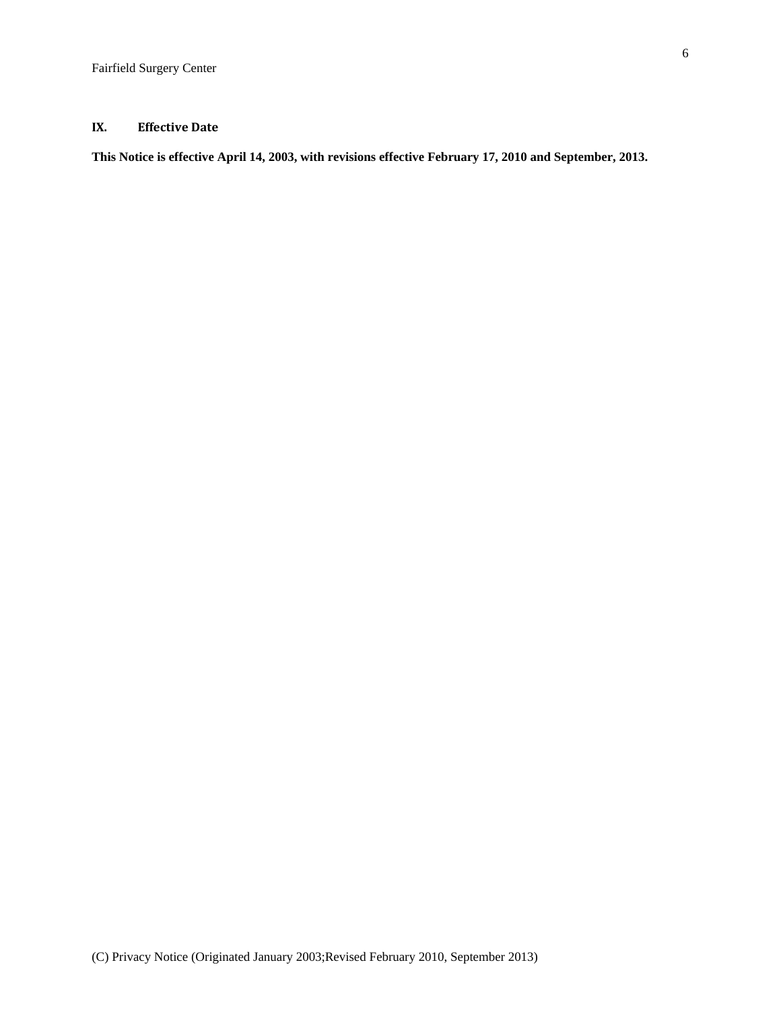# **IX. Effective Date**

**This Notice is effective April 14, 2003, with revisions effective February 17, 2010 and September, 2013.**